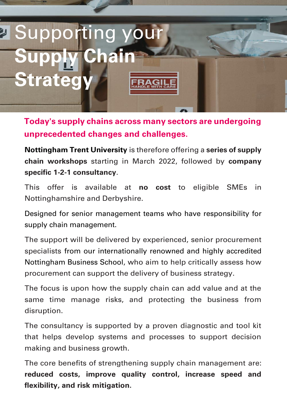

**Today's supply chains across many sectors are undergoing unprecedented changes and challenges.**

**Nottingham Trent University** is therefore offering a **series of supply chain workshops** starting in March 2022, followed by **company specific 1-2-1 consultancy**.

This offer is available at **no cost** to eligible SMEs in Nottinghamshire and Derbyshire.

Designed for senior management teams who have responsibility for supply chain management.

The support will be delivered by experienced, senior procurement specialists from our internationally renowned and highly accredited Nottingham Business School, who aim to help critically assess how procurement can support the delivery of business strategy.

The focus is upon how the supply chain can add value and at the same time manage risks, and protecting the business from disruption.

The consultancy is supported by a proven diagnostic and tool kit that helps develop systems and processes to support decision making and business growth.

The core benefits of strengthening supply chain management are: **reduced costs, improve quality control, increase speed and flexibility, and risk mitigation.**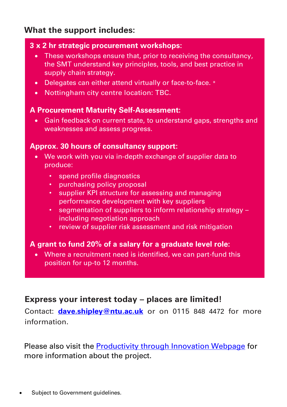## **What the support includes:**

#### **3 x 2 hr strategic procurement workshops:**

- These workshops ensure that, prior to receiving the consultancy, the SMT understand key principles, tools, and best practice in supply chain strategy.
- Delegates can either attend virtually or face-to-face. \*
- Nottingham city centre location: TBC.

## **A Procurement Maturity Self-Assessment:**

**Ince weaknesses and assess progress.** • Gain feedback on current state, to understand gaps, strengths and

#### **Approx. 30 hours of consultancy support:**

- We work with you via in-depth exchange of supplier data to produce:
	- spend profile diagnostics
	- purchasing policy proposal
	- supplier KPI structure for assessing and managing performance development with key suppliers
	- segmentation of suppliers to inform relationship strategy including negotiation approach
	- review of supplier risk assessment and risk mitigation

## **A grant to fund 20% of a salary for a graduate level role:**

• Where a recruitment need is identified, we can part-fund this position for up-to 12 months.

## **Express your interest today – places are limited!**

Contact: **[dave.shipley@ntu.ac.uk](mailto:dave.shipley@ntu.ac.uk)** or on 0115 848 4472 for more information.

Please also visit the [Productivity through Innovation Webpage](https://www.ntu.ac.uk/business-and-employers/financial-and-funded-support/productivity-through-innovation) for more information about the project.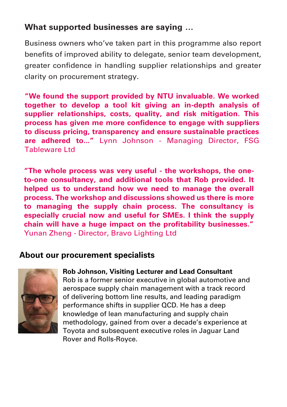# **What supported businesses are saying …**

Business owners who've taken part in this programme also report benefits of improved ability to delegate, senior team development, greater confidence in handling supplier relationships and greater clarity on procurement strategy.

**"We found the support provided by NTU invaluable. We worked together to develop a tool kit giving an in-depth analysis of supplier relationships, costs, quality, and risk mitigation. This process has given me more confidence to engage with suppliers to discuss pricing, transparency and ensure sustainable practices are adhered to..."** Lynn Johnson - Managing Director, FSG Tableware Ltd

**"The whole process was very useful - the workshops, the oneto-one consultancy, and additional tools that Rob provided. It helped us to understand how we need to manage the overall process. The workshop and discussions showed us there is more to managing the supply chain process. The consultancy is especially crucial now and useful for SMEs. I think the supply chain will have a huge impact on the profitability businesses."** Yunan Zheng - Director, Bravo Lighting Ltd

## **About our procurement specialists**



#### **Rob Johnson, Visiting Lecturer and Lead Consultant**

Rob is a former senior executive in global automotive and aerospace supply chain management with a track record of delivering bottom line results, and leading paradigm performance shifts in supplier QCD. He has a deep knowledge of lean manufacturing and supply chain methodology, gained from over a decade's experience at Toyota and subsequent executive roles in Jaguar Land Rover and Rolls-Royce.